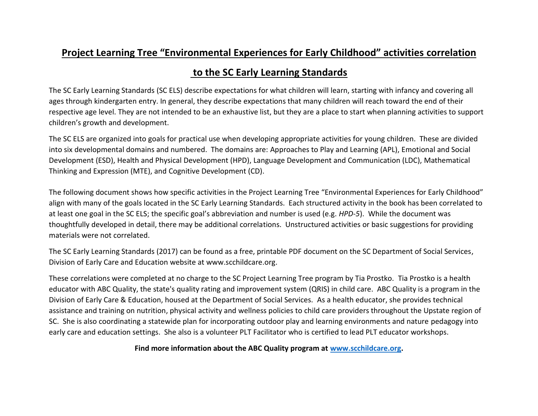## **Project Learning Tree "Environmental Experiences for Early Childhood" activities correlation**

## **to the SC Early Learning Standards**

The SC Early Learning Standards (SC ELS) describe expectations for what children will learn, starting with infancy and covering all ages through kindergarten entry. In general, they describe expectations that many children will reach toward the end of their respective age level. They are not intended to be an exhaustive list, but they are a place to start when planning activities to support children's growth and development.

The SC ELS are organized into goals for practical use when developing appropriate activities for young children. These are divided into six developmental domains and numbered. The domains are: Approaches to Play and Learning (APL), Emotional and Social Development (ESD), Health and Physical Development (HPD), Language Development and Communication (LDC), Mathematical Thinking and Expression (MTE), and Cognitive Development (CD).

The following document shows how specific activities in the Project Learning Tree "Environmental Experiences for Early Childhood" align with many of the goals located in the SC Early Learning Standards. Each structured activity in the book has been correlated to at least one goal in the SC ELS; the specific goal's abbreviation and number is used (e.g. *HPD-5*). While the document was thoughtfully developed in detail, there may be additional correlations. Unstructured activities or basic suggestions for providing materials were not correlated.

The SC Early Learning Standards (2017) can be found as a free, printable PDF document on the SC Department of Social Services, Division of Early Care and Education website at [www.scchildcare.org.](http://www.scchildcare.org/)

These correlations were completed at no charge to the SC Project Learning Tree program by Tia Prostko. Tia Prostko is a health educator with ABC Quality, the state's quality rating and improvement system (QRIS) in child care. ABC Quality is a program in the Division of Early Care & Education, housed at the Department of Social Services. As a health educator, she provides technical assistance and training on nutrition, physical activity and wellness policies to child care providers throughout the Upstate region of SC. She is also coordinating a statewide plan for incorporating outdoor play and learning environments and nature pedagogy into early care and education settings. She also is a volunteer PLT Facilitator who is certified to lead PLT educator workshops.

**Find more information about the ABC Quality program at [www.scchildcare.org.](http://www.scchildcare.org/)**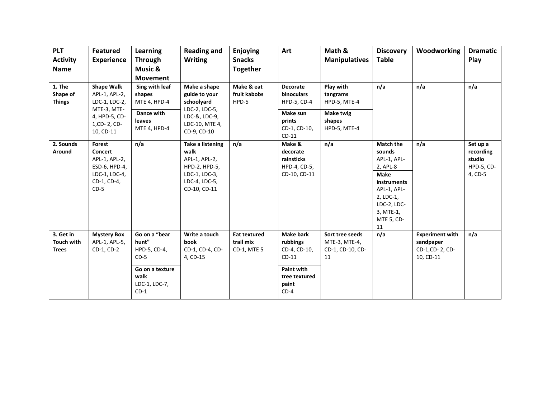| <b>PLT</b><br><b>Activity</b><br><b>Name</b>   | <b>Featured</b><br><b>Experience</b>                                                                             | Learning<br><b>Through</b><br>Music &<br><b>Movement</b>                                               | <b>Reading and</b><br><b>Writing</b>                                                                                | <b>Enjoying</b><br><b>Snacks</b><br><b>Together</b> | Art                                                                                                              | Math &<br><b>Manipulatives</b>                                               | <b>Discovery</b><br><b>Table</b>                                                                                                                                | Woodworking                                                        | <b>Dramatic</b><br>Play                                  |
|------------------------------------------------|------------------------------------------------------------------------------------------------------------------|--------------------------------------------------------------------------------------------------------|---------------------------------------------------------------------------------------------------------------------|-----------------------------------------------------|------------------------------------------------------------------------------------------------------------------|------------------------------------------------------------------------------|-----------------------------------------------------------------------------------------------------------------------------------------------------------------|--------------------------------------------------------------------|----------------------------------------------------------|
| 1. The<br>Shape of<br><b>Things</b>            | <b>Shape Walk</b><br>APL-1, APL-2,<br>LDC-1, LDC-2,<br>MTE-3, MTE-<br>4, HPD-5, CD-<br>1, CD-2, CD-<br>10, CD-11 | Sing with leaf<br>shapes<br>MTE 4, HPD-4<br>Dance with<br><b>leaves</b><br>MTE 4, HPD-4                | Make a shape<br>guide to your<br>schoolyard<br>LDC-2, LDC-5,<br>LDC-&, LDC-9,<br>LDC-10, MTE 4,<br>CD-9, CD-10      | Make & eat<br>fruit kabobs<br>HPD-5                 | <b>Decorate</b><br>binoculars<br><b>HPD-5, CD-4</b><br>Make sun<br>prints<br>CD-1, CD-10,<br>$CD-11$             | Play with<br>tangrams<br>HPD-5, MTE-4<br>Make twig<br>shapes<br>HPD-5, MTE-4 | n/a                                                                                                                                                             | n/a                                                                | n/a                                                      |
| 2. Sounds<br>Around                            | <b>Forest</b><br>Concert<br>APL-1, APL-2,<br>ESD-6, HPD-4,<br>LDC-1, LDC-4,<br>CD-1, CD-4,<br>$CD-5$             | n/a                                                                                                    | <b>Take a listening</b><br>walk<br>APL-1, APL-2,<br>HPD-2, HPD-5,<br>LDC-1, LDC-3,<br>LDC-4, LDC-5,<br>CD-10, CD-11 | n/a                                                 | Make &<br>decorate<br>rainsticks<br>HPD-4, CD-5,<br>CD-10, CD-11                                                 | n/a                                                                          | <b>Match the</b><br>sounds<br>APL-1, APL-<br>2, APL-8<br><b>Make</b><br>instruments<br>APL-1, APL-<br>2, LDC-1,<br>LDC-2, LDC-<br>3, MTE-1,<br>MTE 5, CD-<br>11 | n/a                                                                | Set up a<br>recording<br>studio<br>HPD-5, CD-<br>4, CD-5 |
| 3. Get in<br><b>Touch with</b><br><b>Trees</b> | <b>Mystery Box</b><br>APL-1, APL-5,<br>CD-1, CD-2                                                                | Go on a "bear<br>hunt"<br>HPD-5, CD-4,<br>$CD-5$<br>Go on a texture<br>walk<br>LDC-1, LDC-7,<br>$CD-1$ | Write a touch<br>book<br>CD-1, CD-4, CD-<br>4, CD-15                                                                | <b>Eat textured</b><br>trail mix<br>CD-1, MTE 5     | <b>Make bark</b><br>rubbings<br>CD-4, CD-10,<br>$CD-11$<br><b>Paint with</b><br>tree textured<br>paint<br>$CD-4$ | Sort tree seeds<br>MTE-3, MTE-4,<br>CD-1, CD-10, CD-<br>11                   | n/a                                                                                                                                                             | <b>Experiment with</b><br>sandpaper<br>CD-1,CD-2, CD-<br>10, CD-11 | n/a                                                      |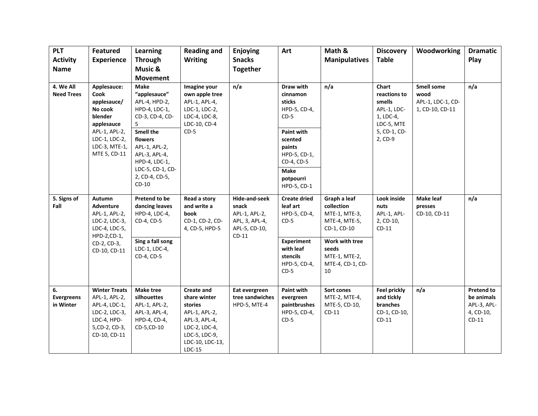| <b>PLT</b>                                        | <b>Featured</b>                                                                                                          | <b>Learning</b>                                                                                                                 | <b>Reading and</b>                                                                                                                              | Enjoying                                                                                     | Art                                                                                                             | Math &                                                                      | <b>Discovery</b>                                                          | Woodworking                                                       | <b>Dramatic</b>                                                        |
|---------------------------------------------------|--------------------------------------------------------------------------------------------------------------------------|---------------------------------------------------------------------------------------------------------------------------------|-------------------------------------------------------------------------------------------------------------------------------------------------|----------------------------------------------------------------------------------------------|-----------------------------------------------------------------------------------------------------------------|-----------------------------------------------------------------------------|---------------------------------------------------------------------------|-------------------------------------------------------------------|------------------------------------------------------------------------|
| <b>Activity</b>                                   | <b>Experience</b>                                                                                                        | <b>Through</b>                                                                                                                  | <b>Writing</b>                                                                                                                                  | <b>Snacks</b>                                                                                |                                                                                                                 | <b>Manipulatives</b>                                                        | <b>Table</b>                                                              |                                                                   | Play                                                                   |
| <b>Name</b>                                       |                                                                                                                          | Music &                                                                                                                         |                                                                                                                                                 | <b>Together</b>                                                                              |                                                                                                                 |                                                                             |                                                                           |                                                                   |                                                                        |
|                                                   |                                                                                                                          | <b>Movement</b>                                                                                                                 |                                                                                                                                                 |                                                                                              |                                                                                                                 |                                                                             |                                                                           |                                                                   |                                                                        |
| 4. We All<br><b>Need Trees</b><br>Cook<br>blender | Applesauce:<br>applesauce/<br>No cook<br>applesauce                                                                      | <b>Make</b><br>"applesauce"<br>APL-4, HPD-2,<br>HPD-4, LDC-1,<br>CD-3, CD-4, CD-<br>5.                                          | Imagine your<br>own apple tree<br>APL-1, APL-4,<br>LDC-1, LDC-2,<br>LDC-4, LDC-8,<br>LDC-10, CD-4<br>$CD-5$                                     | n/a                                                                                          | Draw with<br>cinnamon<br>sticks<br>HPD-5, CD-4,<br>$CD-5$                                                       | n/a                                                                         | Chart<br>reactions to<br>smells<br>APL-1, LDC-<br>1, LDC-4,<br>LDC-5, MTE | <b>Smell some</b><br>wood<br>APL-1, LDC-1, CD-<br>1, CD-10, CD-11 | n/a                                                                    |
|                                                   | APL-1, APL-2,<br>LDC-1, LDC-2,<br>LDC-3, MTE-1,<br>MTE 5, CD-11                                                          | <b>Smell the</b><br>flowers<br>APL-1, APL-2,<br>APL-3, APL-4,<br>HPD-4, LDC-1,<br>LDC-5, CD-1, CD-<br>2, CD-4, CD-5,<br>$CD-10$ |                                                                                                                                                 |                                                                                              | <b>Paint with</b><br>scented<br>paints<br>HPD-5, CD-1,<br>CD-4, CD-5<br><b>Make</b><br>potpourri<br>HPD-5, CD-1 |                                                                             | 5, CD-1, CD-<br>2, CD-9                                                   |                                                                   |                                                                        |
| 5. Signs of<br>Fall                               | Autumn<br>Adventure<br>APL-1, APL-2,<br>LDC-2, LDC-3,<br>LDC-4, LDC-5,<br>HPD-2,CD-1,<br>CD-2, CD-3,<br>CD-10, CD-11     | Pretend to be<br>dancing leaves<br>HPD-4, LDC-4,<br>CD-4, CD-5                                                                  | Read a story<br>and write a<br>book<br>CD-1, CD-2, CD-<br>4, CD-5, HPD-5                                                                        | <b>Hide-and-seek</b><br>snack<br>APL-1, APL-2,<br>APL, 3, APL-4,<br>APL-5, CD-10,<br>$CD-11$ | <b>Create dried</b><br>leaf art<br>HPD-5, CD-4,<br>$CD-5$                                                       | Graph a leaf<br>collection<br>MTE-1, MTE-3,<br>MTE-4, MTE-5,<br>CD-1, CD-10 | Look inside<br>nuts<br>APL-1, APL-<br>2, CD-10,<br>$CD-11$                | <b>Make leaf</b><br>presses<br>CD-10, CD-11                       | n/a                                                                    |
|                                                   |                                                                                                                          | Sing a fall song<br>LDC-1, LDC-4,<br>CD-4, CD-5                                                                                 |                                                                                                                                                 |                                                                                              | <b>Experiment</b><br>with leaf<br>stencils<br>HPD-5, CD-4,<br>$CD-5$                                            | Work with tree<br>seeds<br>MTE-1, MTE-2,<br>MTE-4, CD-1, CD-<br>10          |                                                                           |                                                                   |                                                                        |
| 6.<br><b>Evergreens</b><br>in Winter              | <b>Winter Treats</b><br>APL-1, APL-2,<br>APL-4, LDC-1,<br>LDC-2, LDC-3,<br>LDC-4, HPD-<br>5, CD-2, CD-3,<br>CD-10, CD-11 | <b>Make tree</b><br>silhouettes<br>APL-1, APL-2,<br>APL-3, APL-4,<br>HPD-4, CD-4,<br>CD-5,CD-10                                 | <b>Create and</b><br>share winter<br>stories<br>APL-1, APL-2,<br>APL-3, APL-4,<br>LDC-2, LDC-4,<br>LDC-5, LDC-9,<br>LDC-10, LDC-13,<br>$LDC-15$ | Eat evergreen<br>tree sandwiches<br>HPD-5, MTE-4                                             | Paint with<br>evergreen<br>paintbrushes<br>HPD-5, CD-4,<br>$CD-5$                                               | Sort cones<br>MTE-2, MTE-4,<br>MTE-5, CD-10,<br>$CD-11$                     | <b>Feel prickly</b><br>and tickly<br>branches<br>CD-1, CD-10,<br>$CD-11$  | n/a                                                               | <b>Pretend to</b><br>be animals<br>APL-3, APL-<br>4, CD-10,<br>$CD-11$ |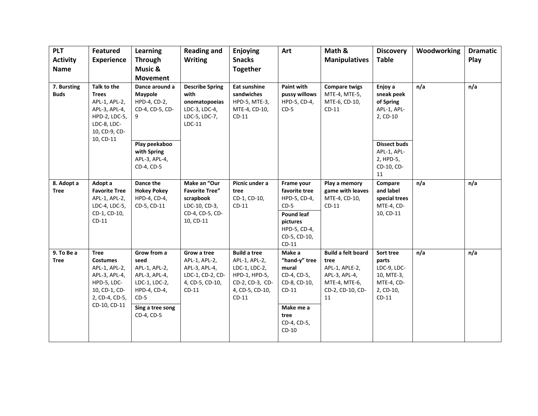| <b>PLT</b><br><b>Activity</b><br><b>Name</b> | <b>Featured</b><br><b>Experience</b>                                                                                               | <b>Learning</b><br><b>Through</b><br>Music &<br><b>Movement</b>                                                                    | <b>Reading and</b><br><b>Writing</b>                                                                | Enjoying<br><b>Snacks</b><br><b>Together</b>                                                                            | Art                                                                                                                               | Math &<br><b>Manipulatives</b>                                                                                  | <b>Discovery</b><br><b>Table</b>                                                      | Woodworking | <b>Dramatic</b><br>Play |
|----------------------------------------------|------------------------------------------------------------------------------------------------------------------------------------|------------------------------------------------------------------------------------------------------------------------------------|-----------------------------------------------------------------------------------------------------|-------------------------------------------------------------------------------------------------------------------------|-----------------------------------------------------------------------------------------------------------------------------------|-----------------------------------------------------------------------------------------------------------------|---------------------------------------------------------------------------------------|-------------|-------------------------|
| 7. Bursting<br><b>Buds</b>                   | Talk to the<br><b>Trees</b><br>APL-1, APL-2,<br>APL-3, APL-4,<br>HPD-2, LDC-5,<br>LDC-8, LDC-<br>10, CD-9, CD-                     | Dance around a<br><b>Maypole</b><br>HPD-4, CD-2,<br>CD-4, CD-5, CD-<br>9                                                           | <b>Describe Spring</b><br>with<br>onomatopoeias<br>LDC-3, LDC-4,<br>LDC-5, LDC-7,<br>$LDC-11$       | Eat sunshine<br>sandwiches<br>HPD-5, MTE-3,<br>MTE-4, CD-10,<br>$CD-11$                                                 | <b>Paint with</b><br>pussy willows<br>HPD-5, CD-4,<br>$CD-5$                                                                      | <b>Compare twigs</b><br>MTE-4, MTE-5,<br>MTE-6, CD-10,<br>$CD-11$                                               | Enjoy a<br>sneak peek<br>of Spring<br>APL-1, APL-<br>2, CD-10                         | n/a         | n/a                     |
|                                              | 10, CD-11                                                                                                                          | Play peekaboo<br>with Spring<br>APL-3, APL-4,<br>CD-4, CD-5                                                                        |                                                                                                     |                                                                                                                         |                                                                                                                                   |                                                                                                                 | <b>Dissect buds</b><br>APL-1, APL-<br>2, HPD-5,<br>CD-10, CD-<br>11                   |             |                         |
| 8. Adopt a<br><b>Tree</b>                    | Adopt a<br><b>Favorite Tree</b><br>APL-1, APL-2,<br>LDC-4, LDC-5,<br>CD-1, CD-10,<br>$CD-11$                                       | Dance the<br><b>Hokey Pokey</b><br>HPD-4, CD-4,<br>CD-5, CD-11                                                                     | Make an "Our<br><b>Favorite Tree"</b><br>scrapbook<br>LDC-10, CD-3,<br>CD-4, CD-5, CD-<br>10, CD-11 | Picnic under a<br>tree<br>CD-1, CD-10,<br>$CD-11$                                                                       | Frame your<br>favorite tree<br>HPD-5, CD-4,<br>$CD-5$<br><b>Pound leaf</b><br>pictures<br>HPD-5, CD-4,<br>CD-5, CD-10,<br>$CD-11$ | Play a memory<br>game with leaves<br>MTE-4, CD-10,<br>$CD-11$                                                   | Compare<br>and label<br>special trees<br>MTE-4, CD-<br>10, CD-11                      | n/a         | n/a                     |
| 9. To Be a<br><b>Tree</b>                    | <b>Tree</b><br><b>Costumes</b><br>APL-1, APL-2,<br>APL-3, APL-4,<br>HPD-5, LDC-<br>10, CD-1, CD-<br>2, CD-4, CD-5,<br>CD-10, CD-11 | Grow from a<br>seed<br>APL-1, APL-2,<br>APL-3, APL-4,<br>LDC-1, LDC-2,<br>HPD-4, CD-4,<br>$CD-5$<br>Sing a tree song<br>CD-4, CD-5 | Grow a tree<br>APL-1, APL-2,<br>APL-3, APL-4,<br>LDC-1, CD-2, CD-<br>4, CD-5, CD-10,<br>$CD-11$     | <b>Build a tree</b><br>APL-1, APL-2,<br>LDC-1, LDC-2,<br>HPD-1, HPD-5,<br>CD-2, CD-3, CD-<br>4, CD-5, CD-10,<br>$CD-11$ | Make a<br>"hand-y" tree<br>mural<br>CD-4, CD-5,<br>CD-8, CD-10,<br>$CD-11$<br>Make me a<br>tree<br>CD-4, CD-5,<br>$CD-10$         | <b>Build a felt board</b><br>tree<br>APL-1, APLE-2,<br>APL-3, APL-4,<br>MTE-4, MTE-6,<br>CD-2, CD-10, CD-<br>11 | Sort tree<br>parts<br>LDC-9, LDC-<br>10, MTE-3,<br>MTE-4, CD-<br>2, CD-10,<br>$CD-11$ | n/a         | n/a                     |